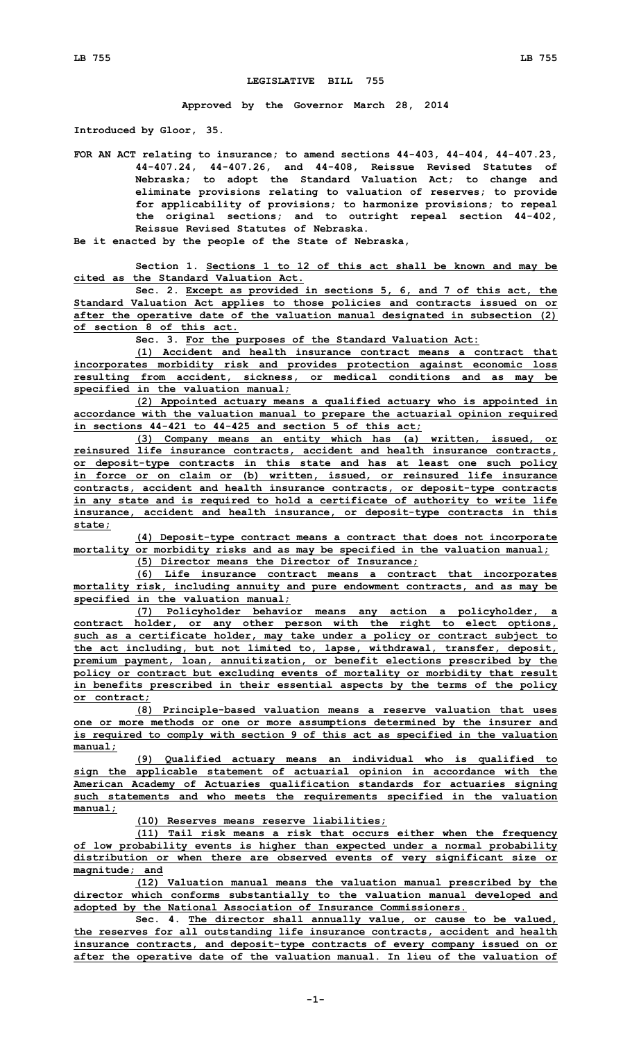## **LEGISLATIVE BILL 755**

**Approved by the Governor March 28, 2014**

**Introduced by Gloor, 35.**

**FOR AN ACT relating to insurance; to amend sections 44-403, 44-404, 44-407.23, 44-407.24, 44-407.26, and 44-408, Reissue Revised Statutes of Nebraska; to adopt the Standard Valuation Act; to change and eliminate provisions relating to valuation of reserves; to provide for applicability of provisions; to harmonize provisions; to repeal the original sections; and to outright repeal section 44-402, Reissue Revised Statutes of Nebraska.**

**Be it enacted by the people of the State of Nebraska,**

**Section 1. Sections 1 to 12 of this act shall be known and may be cited as the Standard Valuation Act.**

**Sec. 2. Except as provided in sections 5, 6, and 7 of this act, the Standard Valuation Act applies to those policies and contracts issued on or after the operative date of the valuation manual designated in subsection (2) of section 8 of this act.**

**Sec. 3. For the purposes of the Standard Valuation Act:**

**(1) Accident and health insurance contract means <sup>a</sup> contract that incorporates morbidity risk and provides protection against economic loss resulting from accident, sickness, or medical conditions and as may be specified in the valuation manual;**

**(2) Appointed actuary means <sup>a</sup> qualified actuary who is appointed in accordance with the valuation manual to prepare the actuarial opinion required in sections 44-421 to 44-425 and section 5 of this act;**

**(3) Company means an entity which has (a) written, issued, or reinsured life insurance contracts, accident and health insurance contracts, or deposit-type contracts in this state and has at least one such policy in force or on claim or (b) written, issued, or reinsured life insurance contracts, accident and health insurance contracts, or deposit-type contracts in any state and is required to hold <sup>a</sup> certificate of authority to write life insurance, accident and health insurance, or deposit-type contracts in this state;**

**(4) Deposit-type contract means <sup>a</sup> contract that does not incorporate mortality or morbidity risks and as may be specified in the valuation manual;**

**(5) Director means the Director of Insurance;**

**(6) Life insurance contract means <sup>a</sup> contract that incorporates mortality risk, including annuity and pure endowment contracts, and as may be specified in the valuation manual;**

**(7) Policyholder behavior means any action <sup>a</sup> policyholder, <sup>a</sup> contract holder, or any other person with the right to elect options, such as <sup>a</sup> certificate holder, may take under <sup>a</sup> policy or contract subject to the act including, but not limited to, lapse, withdrawal, transfer, deposit, premium payment, loan, annuitization, or benefit elections prescribed by the policy or contract but excluding events of mortality or morbidity that result in benefits prescribed in their essential aspects by the terms of the policy or contract;**

**(8) Principle-based valuation means <sup>a</sup> reserve valuation that uses one or more methods or one or more assumptions determined by the insurer and is required to comply with section 9 of this act as specified in the valuation manual;**

**(9) Qualified actuary means an individual who is qualified to sign the applicable statement of actuarial opinion in accordance with the American Academy of Actuaries qualification standards for actuaries signing such statements and who meets the requirements specified in the valuation manual;**

**(10) Reserves means reserve liabilities;**

**(11) Tail risk means <sup>a</sup> risk that occurs either when the frequency of low probability events is higher than expected under <sup>a</sup> normal probability distribution or when there are observed events of very significant size or magnitude; and**

**(12) Valuation manual means the valuation manual prescribed by the director which conforms substantially to the valuation manual developed and adopted by the National Association of Insurance Commissioners.**

**Sec. 4. The director shall annually value, or cause to be valued, the reserves for all outstanding life insurance contracts, accident and health insurance contracts, and deposit-type contracts of every company issued on or after the operative date of the valuation manual. In lieu of the valuation of**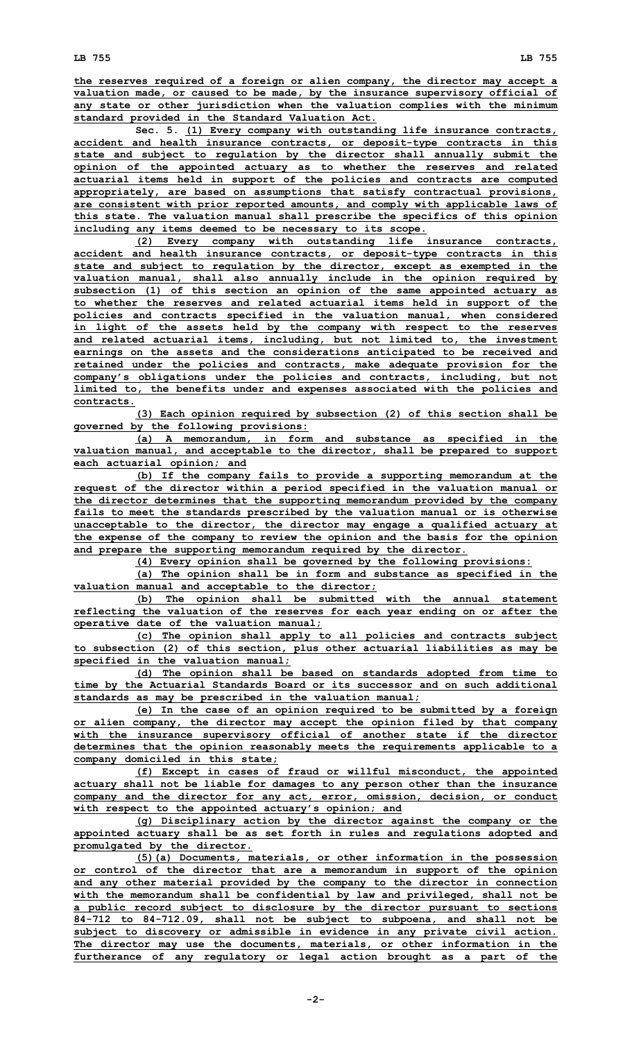**the reserves required of <sup>a</sup> foreign or alien company, the director may accept <sup>a</sup> valuation made, or caused to be made, by the insurance supervisory official of any state or other jurisdiction when the valuation complies with the minimum standard provided in the Standard Valuation Act.**

**Sec. 5. (1) Every company with outstanding life insurance contracts, accident and health insurance contracts, or deposit-type contracts in this state and subject to regulation by the director shall annually submit the opinion of the appointed actuary as to whether the reserves and related actuarial items held in support of the policies and contracts are computed appropriately, are based on assumptions that satisfy contractual provisions, are consistent with prior reported amounts, and comply with applicable laws of this state. The valuation manual shall prescribe the specifics of this opinion including any items deemed to be necessary to its scope.**

**(2) Every company with outstanding life insurance contracts, accident and health insurance contracts, or deposit-type contracts in this state and subject to regulation by the director, except as exempted in the valuation manual, shall also annually include in the opinion required by subsection (1) of this section an opinion of the same appointed actuary as to whether the reserves and related actuarial items held in support of the policies and contracts specified in the valuation manual, when considered in light of the assets held by the company with respect to the reserves and related actuarial items, including, but not limited to, the investment earnings on the assets and the considerations anticipated to be received and retained under the policies and contracts, make adequate provision for the company's obligations under the policies and contracts, including, but not limited to, the benefits under and expenses associated with the policies and contracts.**

**(3) Each opinion required by subsection (2) of this section shall be governed by the following provisions:**

**(a) <sup>A</sup> memorandum, in form and substance as specified in the valuation manual, and acceptable to the director, shall be prepared to support each actuarial opinion; and**

**(b) If the company fails to provide <sup>a</sup> supporting memorandum at the request of the director within <sup>a</sup> period specified in the valuation manual or the director determines that the supporting memorandum provided by the company fails to meet the standards prescribed by the valuation manual or is otherwise unacceptable to the director, the director may engage <sup>a</sup> qualified actuary at the expense of the company to review the opinion and the basis for the opinion and prepare the supporting memorandum required by the director.**

**(4) Every opinion shall be governed by the following provisions:**

**(a) The opinion shall be in form and substance as specified in the valuation manual and acceptable to the director;**

**(b) The opinion shall be submitted with the annual statement reflecting the valuation of the reserves for each year ending on or after the operative date of the valuation manual;**

**(c) The opinion shall apply to all policies and contracts subject to subsection (2) of this section, plus other actuarial liabilities as may be specified in the valuation manual;**

**(d) The opinion shall be based on standards adopted from time to time by the Actuarial Standards Board or its successor and on such additional standards as may be prescribed in the valuation manual;**

**(e) In the case of an opinion required to be submitted by <sup>a</sup> foreign or alien company, the director may accept the opinion filed by that company with the insurance supervisory official of another state if the director determines that the opinion reasonably meets the requirements applicable to <sup>a</sup> company domiciled in this state;**

**(f) Except in cases of fraud or willful misconduct, the appointed actuary shall not be liable for damages to any person other than the insurance company and the director for any act, error, omission, decision, or conduct with respect to the appointed actuary's opinion; and**

**(g) Disciplinary action by the director against the company or the appointed actuary shall be as set forth in rules and regulations adopted and promulgated by the director.**

**(5)(a) Documents, materials, or other information in the possession or control of the director that are <sup>a</sup> memorandum in support of the opinion and any other material provided by the company to the director in connection with the memorandum shall be confidential by law and privileged, shall not be <sup>a</sup> public record subject to disclosure by the director pursuant to sections 84-712 to 84-712.09, shall not be subject to subpoena, and shall not be subject to discovery or admissible in evidence in any private civil action. The director may use the documents, materials, or other information in the furtherance of any regulatory or legal action brought as <sup>a</sup> part of the**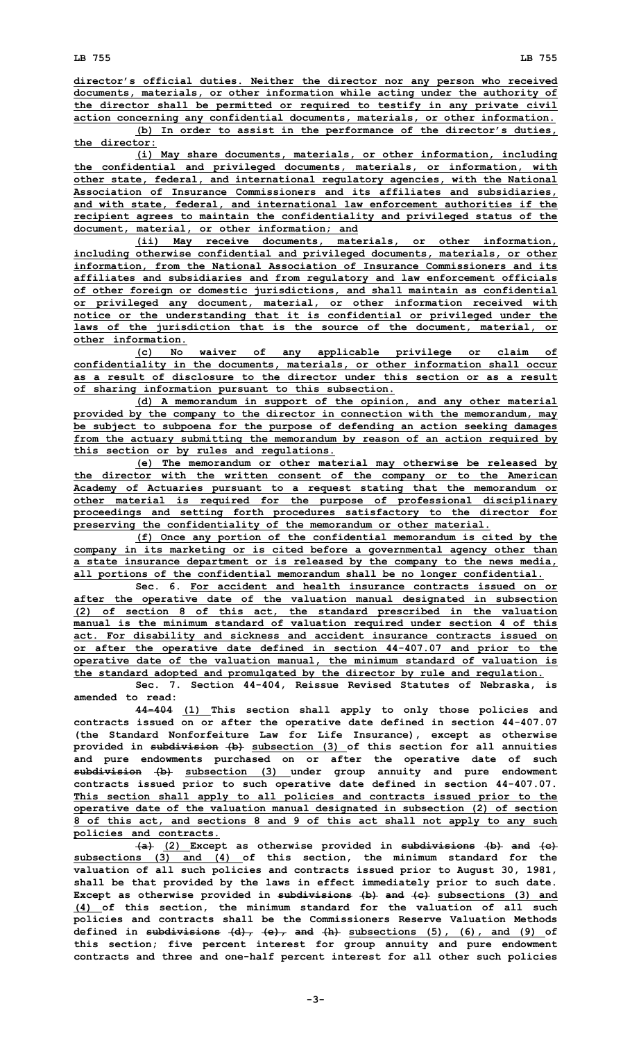**director's official duties. Neither the director nor any person who received documents, materials, or other information while acting under the authority of the director shall be permitted or required to testify in any private civil action concerning any confidential documents, materials, or other information.**

**(b) In order to assist in the performance of the director's duties, the director:**

**(i) May share documents, materials, or other information, including the confidential and privileged documents, materials, or information, with other state, federal, and international regulatory agencies, with the National Association of Insurance Commissioners and its affiliates and subsidiaries, and with state, federal, and international law enforcement authorities if the recipient agrees to maintain the confidentiality and privileged status of the document, material, or other information; and**

**(ii) May receive documents, materials, or other information, including otherwise confidential and privileged documents, materials, or other information, from the National Association of Insurance Commissioners and its affiliates and subsidiaries and from regulatory and law enforcement officials of other foreign or domestic jurisdictions, and shall maintain as confidential or privileged any document, material, or other information received with notice or the understanding that it is confidential or privileged under the laws of the jurisdiction that is the source of the document, material, or other information.**

**(c) No waiver of any applicable privilege or claim of confidentiality in the documents, materials, or other information shall occur as a result of disclosure to the director under this section or as a result of sharing information pursuant to this subsection.**

**(d) <sup>A</sup> memorandum in support of the opinion, and any other material provided by the company to the director in connection with the memorandum, may be subject to subpoena for the purpose of defending an action seeking damages from the actuary submitting the memorandum by reason of an action required by this section or by rules and regulations.**

**(e) The memorandum or other material may otherwise be released by the director with the written consent of the company or to the American Academy of Actuaries pursuant to <sup>a</sup> request stating that the memorandum or other material is required for the purpose of professional disciplinary proceedings and setting forth procedures satisfactory to the director for preserving the confidentiality of the memorandum or other material.**

**(f) Once any portion of the confidential memorandum is cited by the company in its marketing or is cited before <sup>a</sup> governmental agency other than <sup>a</sup> state insurance department or is released by the company to the news media, all portions of the confidential memorandum shall be no longer confidential.**

**Sec. 6. For accident and health insurance contracts issued on or after the operative date of the valuation manual designated in subsection (2) of section 8 of this act, the standard prescribed in the valuation manual is the minimum standard of valuation required under section 4 of this act. For disability and sickness and accident insurance contracts issued on or after the operative date defined in section 44-407.07 and prior to the operative date of the valuation manual, the minimum standard of valuation is the standard adopted and promulgated by the director by rule and regulation.**

**Sec. 7. Section 44-404, Reissue Revised Statutes of Nebraska, is amended to read:**

**44-404 (1) This section shall apply to only those policies and contracts issued on or after the operative date defined in section 44-407.07 (the Standard Nonforfeiture Law for Life Insurance), except as otherwise provided in subdivision (b) subsection (3) of this section for all annuities and pure endowments purchased on or after the operative date of such subdivision (b) subsection (3) under group annuity and pure endowment contracts issued prior to such operative date defined in section 44-407.07. This section shall apply to all policies and contracts issued prior to the operative date of the valuation manual designated in subsection (2) of section 8 of this act, and sections 8 and 9 of this act shall not apply to any such policies and contracts.**

**(a) (2) Except as otherwise provided in subdivisions (b) and (c) subsections (3) and (4) of this section, the minimum standard for the valuation of all such policies and contracts issued prior to August 30, 1981, shall be that provided by the laws in effect immediately prior to such date. Except as otherwise provided in subdivisions (b) and (c) subsections (3) and (4) of this section, the minimum standard for the valuation of all such policies and contracts shall be the Commissioners Reserve Valuation Methods defined in subdivisions (d), (e), and (h) subsections (5), (6), and (9) of this section; five percent interest for group annuity and pure endowment contracts and three and one-half percent interest for all other such policies**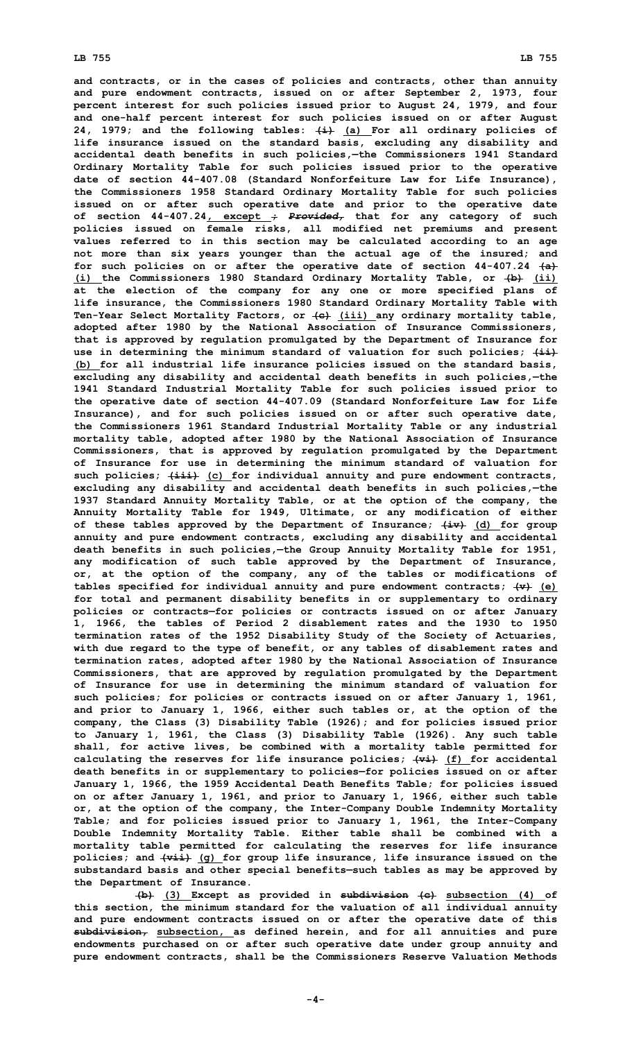**and contracts, or in the cases of policies and contracts, other than annuity and pure endowment contracts, issued on or after September 2, 1973, four percent interest for such policies issued prior to August 24, 1979, and four and one-half percent interest for such policies issued on or after August 24, 1979; and the following tables: (i) (a) For all ordinary policies of life insurance issued on the standard basis, excluding any disability and accidental death benefits in such policies,—the Commissioners 1941 Standard Ordinary Mortality Table for such policies issued prior to the operative date of section 44-407.08 (Standard Nonforfeiture Law for Life Insurance), the Commissioners 1958 Standard Ordinary Mortality Table for such policies issued on or after such operative date and prior to the operative date of section 44-407.24, except ;** *Provided,* **that for any category of such policies issued on female risks, all modified net premiums and present values referred to in this section may be calculated according to an age not more than six years younger than the actual age of the insured; and for such policies on or after the operative date of section 44-407.24 (a) (i) the Commissioners 1980 Standard Ordinary Mortality Table, or (b) (ii) at the election of the company for any one or more specified plans of life insurance, the Commissioners 1980 Standard Ordinary Mortality Table with Ten-Year Select Mortality Factors, or (c) (iii) any ordinary mortality table, adopted after 1980 by the National Association of Insurance Commissioners, that is approved by regulation promulgated by the Department of Insurance for use in determining the minimum standard of valuation for such policies; (ii) (b) for all industrial life insurance policies issued on the standard basis, excluding any disability and accidental death benefits in such policies,—the 1941 Standard Industrial Mortality Table for such policies issued prior to the operative date of section 44-407.09 (Standard Nonforfeiture Law for Life Insurance), and for such policies issued on or after such operative date, the Commissioners 1961 Standard Industrial Mortality Table or any industrial mortality table, adopted after 1980 by the National Association of Insurance Commissioners, that is approved by regulation promulgated by the Department of Insurance for use in determining the minimum standard of valuation for such policies; (iii) (c) for individual annuity and pure endowment contracts, excluding any disability and accidental death benefits in such policies,—the 1937 Standard Annuity Mortality Table, or at the option of the company, the Annuity Mortality Table for 1949, Ultimate, or any modification of either of these tables approved by the Department of Insurance; (iv) (d) for group annuity and pure endowment contracts, excluding any disability and accidental death benefits in such policies,—the Group Annuity Mortality Table for 1951, any modification of such table approved by the Department of Insurance, or, at the option of the company, any of the tables or modifications of tables specified for individual annuity and pure endowment contracts; (v) (e) for total and permanent disability benefits in or supplementary to ordinary policies or contracts—for policies or contracts issued on or after January 1, 1966, the tables of Period 2 disablement rates and the 1930 to 1950 termination rates of the 1952 Disability Study of the Society of Actuaries, with due regard to the type of benefit, or any tables of disablement rates and termination rates, adopted after 1980 by the National Association of Insurance Commissioners, that are approved by regulation promulgated by the Department of Insurance for use in determining the minimum standard of valuation for such policies; for policies or contracts issued on or after January 1, 1961, and prior to January 1, 1966, either such tables or, at the option of the company, the Class (3) Disability Table (1926); and for policies issued prior to January 1, 1961, the Class (3) Disability Table (1926). Any such table shall, for active lives, be combined with <sup>a</sup> mortality table permitted for calculating the reserves for life insurance policies; (vi) (f) for accidental death benefits in or supplementary to policies—for policies issued on or after January 1, 1966, the 1959 Accidental Death Benefits Table; for policies issued on or after January 1, 1961, and prior to January 1, 1966, either such table or, at the option of the company, the Inter-Company Double Indemnity Mortality Table; and for policies issued prior to January 1, 1961, the Inter-Company Double Indemnity Mortality Table. Either table shall be combined with <sup>a</sup> mortality table permitted for calculating the reserves for life insurance policies; and (vii) (g) for group life insurance, life insurance issued on the substandard basis and other special benefits—such tables as may be approved by the Department of Insurance.**

**(b) (3) Except as provided in subdivision (c) subsection (4) of this section, the minimum standard for the valuation of all individual annuity and pure endowment contracts issued on or after the operative date of this subdivision, subsection, as defined herein, and for all annuities and pure endowments purchased on or after such operative date under group annuity and pure endowment contracts, shall be the Commissioners Reserve Valuation Methods**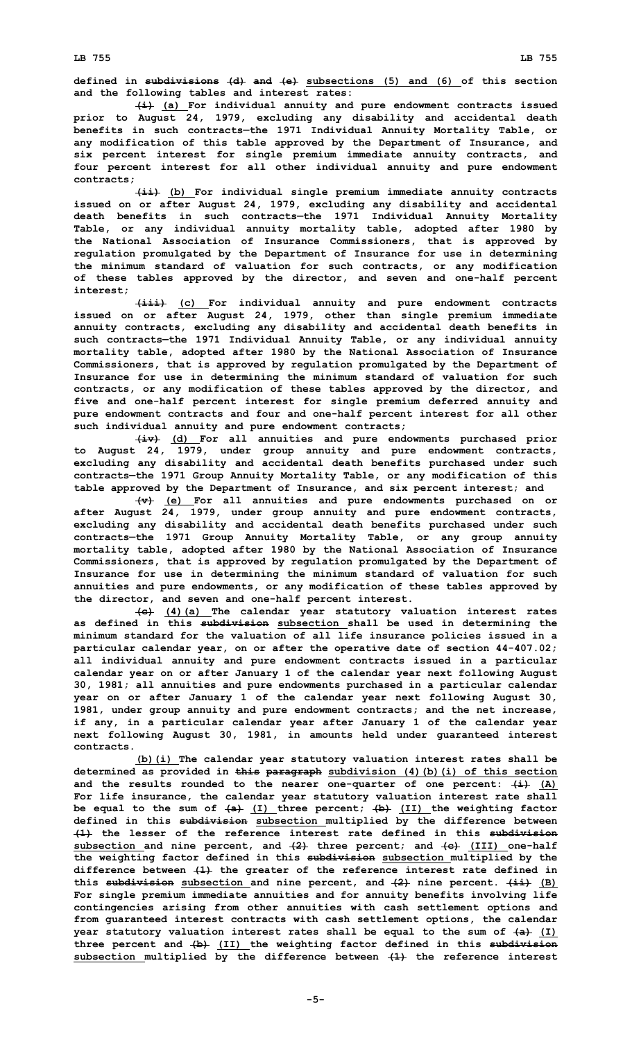**defined in subdivisions (d) and (e) subsections (5) and (6) of this section and the following tables and interest rates:**

**(i) (a) For individual annuity and pure endowment contracts issued prior to August 24, 1979, excluding any disability and accidental death benefits in such contracts—the 1971 Individual Annuity Mortality Table, or any modification of this table approved by the Department of Insurance, and six percent interest for single premium immediate annuity contracts, and four percent interest for all other individual annuity and pure endowment contracts;**

**(ii) (b) For individual single premium immediate annuity contracts issued on or after August 24, 1979, excluding any disability and accidental death benefits in such contracts—the 1971 Individual Annuity Mortality Table, or any individual annuity mortality table, adopted after 1980 by the National Association of Insurance Commissioners, that is approved by regulation promulgated by the Department of Insurance for use in determining the minimum standard of valuation for such contracts, or any modification of these tables approved by the director, and seven and one-half percent interest;**

**(iii) (c) For individual annuity and pure endowment contracts issued on or after August 24, 1979, other than single premium immediate annuity contracts, excluding any disability and accidental death benefits in such contracts—the 1971 Individual Annuity Table, or any individual annuity mortality table, adopted after 1980 by the National Association of Insurance Commissioners, that is approved by regulation promulgated by the Department of Insurance for use in determining the minimum standard of valuation for such contracts, or any modification of these tables approved by the director, and five and one-half percent interest for single premium deferred annuity and pure endowment contracts and four and one-half percent interest for all other such individual annuity and pure endowment contracts;**

**(iv) (d) For all annuities and pure endowments purchased prior to August 24, 1979, under group annuity and pure endowment contracts, excluding any disability and accidental death benefits purchased under such contracts—the 1971 Group Annuity Mortality Table, or any modification of this table approved by the Department of Insurance, and six percent interest; and**

**(v) (e) For all annuities and pure endowments purchased on or after August 24, 1979, under group annuity and pure endowment contracts, excluding any disability and accidental death benefits purchased under such contracts—the 1971 Group Annuity Mortality Table, or any group annuity mortality table, adopted after 1980 by the National Association of Insurance Commissioners, that is approved by regulation promulgated by the Department of Insurance for use in determining the minimum standard of valuation for such annuities and pure endowments, or any modification of these tables approved by the director, and seven and one-half percent interest.**

**(c) (4)(a) The calendar year statutory valuation interest rates as defined in this subdivision subsection shall be used in determining the minimum standard for the valuation of all life insurance policies issued in <sup>a</sup> particular calendar year, on or after the operative date of section 44-407.02; all individual annuity and pure endowment contracts issued in <sup>a</sup> particular calendar year on or after January 1 of the calendar year next following August 30, 1981; all annuities and pure endowments purchased in <sup>a</sup> particular calendar year on or after January 1 of the calendar year next following August 30, 1981, under group annuity and pure endowment contracts; and the net increase, if any, in <sup>a</sup> particular calendar year after January 1 of the calendar year next following August 30, 1981, in amounts held under guaranteed interest contracts.**

**(b)(i) The calendar year statutory valuation interest rates shall be determined as provided in this paragraph subdivision (4)(b)(i) of this section and the results rounded to the nearer one-quarter of one percent: (i) (A) For life insurance, the calendar year statutory valuation interest rate shall be equal to the sum of (a) (I) three percent; (b) (II) the weighting factor defined in this subdivision subsection multiplied by the difference between (1) the lesser of the reference interest rate defined in this subdivision subsection and nine percent, and (2) three percent; and (c) (III) one-half the weighting factor defined in this subdivision subsection multiplied by the difference between (1) the greater of the reference interest rate defined in this subdivision subsection and nine percent, and (2) nine percent. (ii) (B) For single premium immediate annuities and for annuity benefits involving life contingencies arising from other annuities with cash settlement options and from guaranteed interest contracts with cash settlement options, the calendar year statutory valuation interest rates shall be equal to the sum of (a) (I) three percent and (b) (II) the weighting factor defined in this subdivision subsection multiplied by the difference between (1) the reference interest**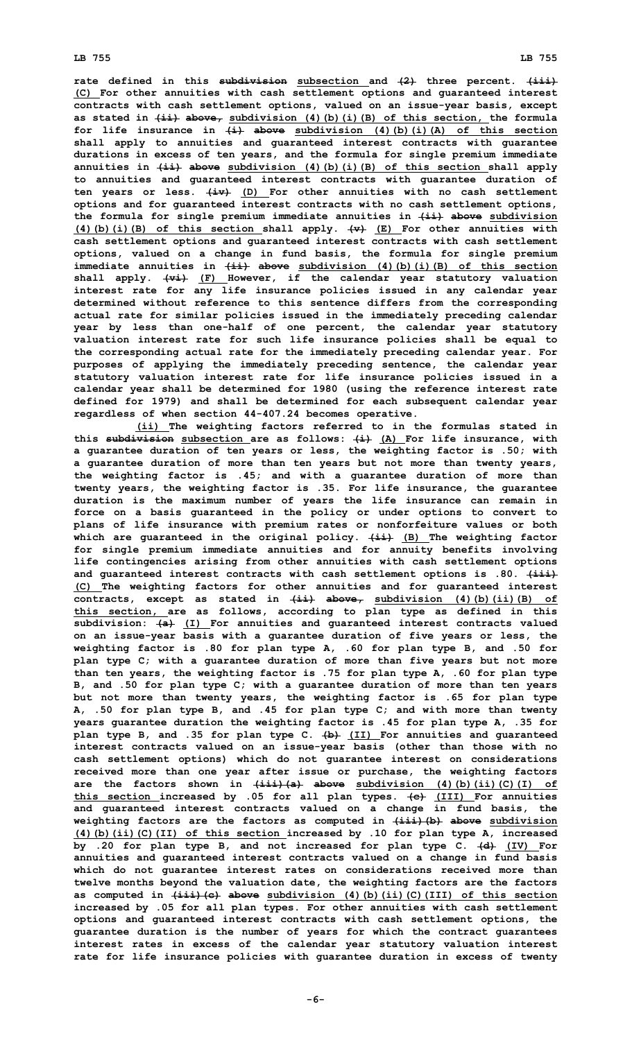**rate defined in this subdivision subsection and (2) three percent. (iii) (C) For other annuities with cash settlement options and guaranteed interest contracts with cash settlement options, valued on an issue-year basis, except as stated in (ii) above, subdivision (4)(b)(i)(B) of this section, the formula for life insurance in (i) above subdivision (4)(b)(i)(A) of this section shall apply to annuities and guaranteed interest contracts with guarantee durations in excess of ten years, and the formula for single premium immediate annuities in (ii) above subdivision (4)(b)(i)(B) of this section shall apply to annuities and guaranteed interest contracts with guarantee duration of ten years or less. (iv) (D) For other annuities with no cash settlement options and for guaranteed interest contracts with no cash settlement options, the formula for single premium immediate annuities in (ii) above subdivision (4)(b)(i)(B) of this section shall apply. (v) (E) For other annuities with cash settlement options and guaranteed interest contracts with cash settlement options, valued on <sup>a</sup> change in fund basis, the formula for single premium immediate annuities in (ii) above subdivision (4)(b)(i)(B) of this section shall apply. (vi) (F) However, if the calendar year statutory valuation interest rate for any life insurance policies issued in any calendar year determined without reference to this sentence differs from the corresponding actual rate for similar policies issued in the immediately preceding calendar year by less than one-half of one percent, the calendar year statutory valuation interest rate for such life insurance policies shall be equal to the corresponding actual rate for the immediately preceding calendar year. For purposes of applying the immediately preceding sentence, the calendar year statutory valuation interest rate for life insurance policies issued in <sup>a</sup> calendar year shall be determined for 1980 (using the reference interest rate defined for 1979) and shall be determined for each subsequent calendar year regardless of when section 44-407.24 becomes operative.**

**(ii) The weighting factors referred to in the formulas stated in this subdivision subsection are as follows: (i) (A) For life insurance, with <sup>a</sup> guarantee duration of ten years or less, the weighting factor is .50; with <sup>a</sup> guarantee duration of more than ten years but not more than twenty years, the weighting factor is .45; and with <sup>a</sup> guarantee duration of more than twenty years, the weighting factor is .35. For life insurance, the guarantee duration is the maximum number of years the life insurance can remain in force on <sup>a</sup> basis guaranteed in the policy or under options to convert to plans of life insurance with premium rates or nonforfeiture values or both which are guaranteed in the original policy. (ii) (B) The weighting factor for single premium immediate annuities and for annuity benefits involving life contingencies arising from other annuities with cash settlement options and guaranteed interest contracts with cash settlement options is .80. (iii) (C) The weighting factors for other annuities and for guaranteed interest contracts, except as stated in (ii) above, subdivision (4)(b)(ii)(B) of this section, are as follows, according to plan type as defined in this subdivision: (a) (I) For annuities and guaranteed interest contracts valued on an issue-year basis with <sup>a</sup> guarantee duration of five years or less, the weighting factor is .80 for plan type A, .60 for plan type B, and .50 for plan type C; with <sup>a</sup> guarantee duration of more than five years but not more than ten years, the weighting factor is .75 for plan type A, .60 for plan type B, and .50 for plan type C; with <sup>a</sup> guarantee duration of more than ten years but not more than twenty years, the weighting factor is .65 for plan type A, .50 for plan type B, and .45 for plan type C; and with more than twenty years guarantee duration the weighting factor is .45 for plan type A, .35 for plan type B, and .35 for plan type C. (b) (II) For annuities and guaranteed interest contracts valued on an issue-year basis (other than those with no cash settlement options) which do not guarantee interest on considerations received more than one year after issue or purchase, the weighting factors are the factors shown in (iii)(a) above subdivision (4)(b)(ii)(C)(I) of this section increased by .05 for all plan types. (c) (III) For annuities and guaranteed interest contracts valued on <sup>a</sup> change in fund basis, the weighting factors are the factors as computed in (iii)(b) above subdivision (4)(b)(ii)(C)(II) of this section increased by .10 for plan type A, increased by .20 for plan type B, and not increased for plan type C. (d) (IV) For annuities and guaranteed interest contracts valued on <sup>a</sup> change in fund basis which do not guarantee interest rates on considerations received more than twelve months beyond the valuation date, the weighting factors are the factors as computed in (iii)(c) above subdivision (4)(b)(ii)(C)(III) of this section increased by .05 for all plan types. For other annuities with cash settlement options and guaranteed interest contracts with cash settlement options, the guarantee duration is the number of years for which the contract guarantees interest rates in excess of the calendar year statutory valuation interest rate for life insurance policies with guarantee duration in excess of twenty**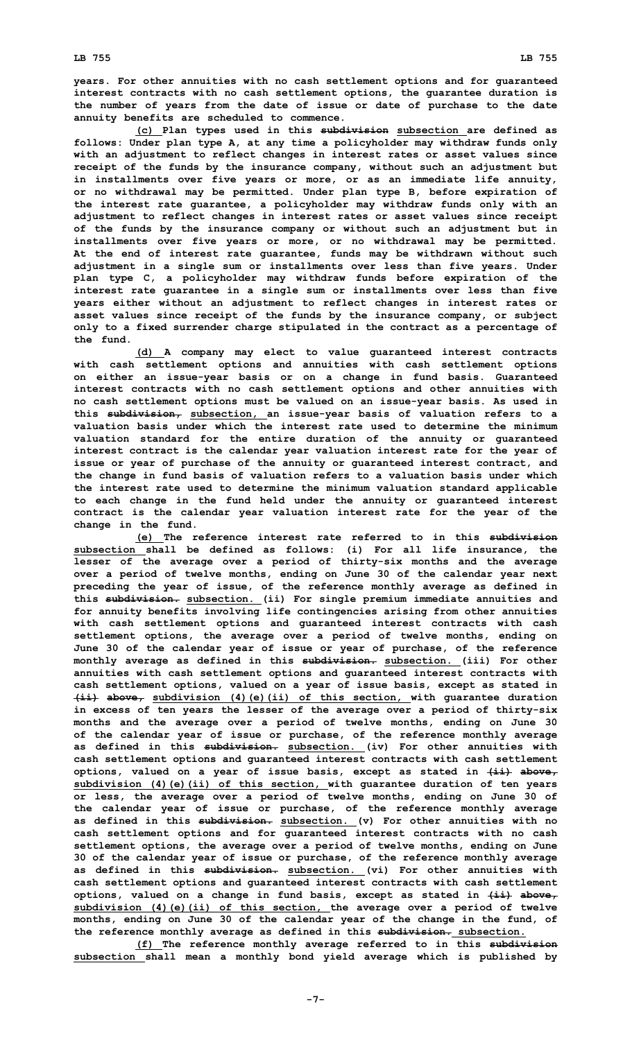**years. For other annuities with no cash settlement options and for guaranteed interest contracts with no cash settlement options, the guarantee duration is the number of years from the date of issue or date of purchase to the date annuity benefits are scheduled to commence.**

**(c) Plan types used in this subdivision subsection are defined as follows: Under plan type A, at any time <sup>a</sup> policyholder may withdraw funds only with an adjustment to reflect changes in interest rates or asset values since receipt of the funds by the insurance company, without such an adjustment but in installments over five years or more, or as an immediate life annuity, or no withdrawal may be permitted. Under plan type B, before expiration of the interest rate guarantee, <sup>a</sup> policyholder may withdraw funds only with an adjustment to reflect changes in interest rates or asset values since receipt of the funds by the insurance company or without such an adjustment but in installments over five years or more, or no withdrawal may be permitted. At the end of interest rate guarantee, funds may be withdrawn without such adjustment in <sup>a</sup> single sum or installments over less than five years. Under plan type C, <sup>a</sup> policyholder may withdraw funds before expiration of the interest rate guarantee in <sup>a</sup> single sum or installments over less than five years either without an adjustment to reflect changes in interest rates or asset values since receipt of the funds by the insurance company, or subject only to <sup>a</sup> fixed surrender charge stipulated in the contract as <sup>a</sup> percentage of the fund.**

**(d) <sup>A</sup> company may elect to value guaranteed interest contracts with cash settlement options and annuities with cash settlement options on either an issue-year basis or on <sup>a</sup> change in fund basis. Guaranteed interest contracts with no cash settlement options and other annuities with no cash settlement options must be valued on an issue-year basis. As used in this subdivision, subsection, an issue-year basis of valuation refers to <sup>a</sup> valuation basis under which the interest rate used to determine the minimum valuation standard for the entire duration of the annuity or guaranteed interest contract is the calendar year valuation interest rate for the year of issue or year of purchase of the annuity or guaranteed interest contract, and the change in fund basis of valuation refers to <sup>a</sup> valuation basis under which the interest rate used to determine the minimum valuation standard applicable to each change in the fund held under the annuity or guaranteed interest contract is the calendar year valuation interest rate for the year of the change in the fund.**

**(e) The reference interest rate referred to in this subdivision subsection shall be defined as follows: (i) For all life insurance, the lesser of the average over <sup>a</sup> period of thirty-six months and the average over <sup>a</sup> period of twelve months, ending on June 30 of the calendar year next preceding the year of issue, of the reference monthly average as defined in this subdivision. subsection. (ii) For single premium immediate annuities and for annuity benefits involving life contingencies arising from other annuities with cash settlement options and guaranteed interest contracts with cash settlement options, the average over <sup>a</sup> period of twelve months, ending on June 30 of the calendar year of issue or year of purchase, of the reference monthly average as defined in this subdivision. subsection. (iii) For other annuities with cash settlement options and guaranteed interest contracts with cash settlement options, valued on <sup>a</sup> year of issue basis, except as stated in (ii) above, subdivision (4)(e)(ii) of this section, with guarantee duration in excess of ten years the lesser of the average over <sup>a</sup> period of thirty-six months and the average over <sup>a</sup> period of twelve months, ending on June 30 of the calendar year of issue or purchase, of the reference monthly average as defined in this subdivision. subsection. (iv) For other annuities with cash settlement options and guaranteed interest contracts with cash settlement options, valued on <sup>a</sup> year of issue basis, except as stated in (ii) above, subdivision (4)(e)(ii) of this section, with guarantee duration of ten years or less, the average over <sup>a</sup> period of twelve months, ending on June 30 of the calendar year of issue or purchase, of the reference monthly average as defined in this subdivision. subsection. (v) For other annuities with no cash settlement options and for guaranteed interest contracts with no cash settlement options, the average over <sup>a</sup> period of twelve months, ending on June 30 of the calendar year of issue or purchase, of the reference monthly average as defined in this subdivision. subsection. (vi) For other annuities with cash settlement options and guaranteed interest contracts with cash settlement options, valued on <sup>a</sup> change in fund basis, except as stated in (ii) above, subdivision (4)(e)(ii) of this section, the average over <sup>a</sup> period of twelve months, ending on June 30 of the calendar year of the change in the fund, of the reference monthly average as defined in this subdivision. subsection.**

**(f) The reference monthly average referred to in this subdivision subsection shall mean <sup>a</sup> monthly bond yield average which is published by**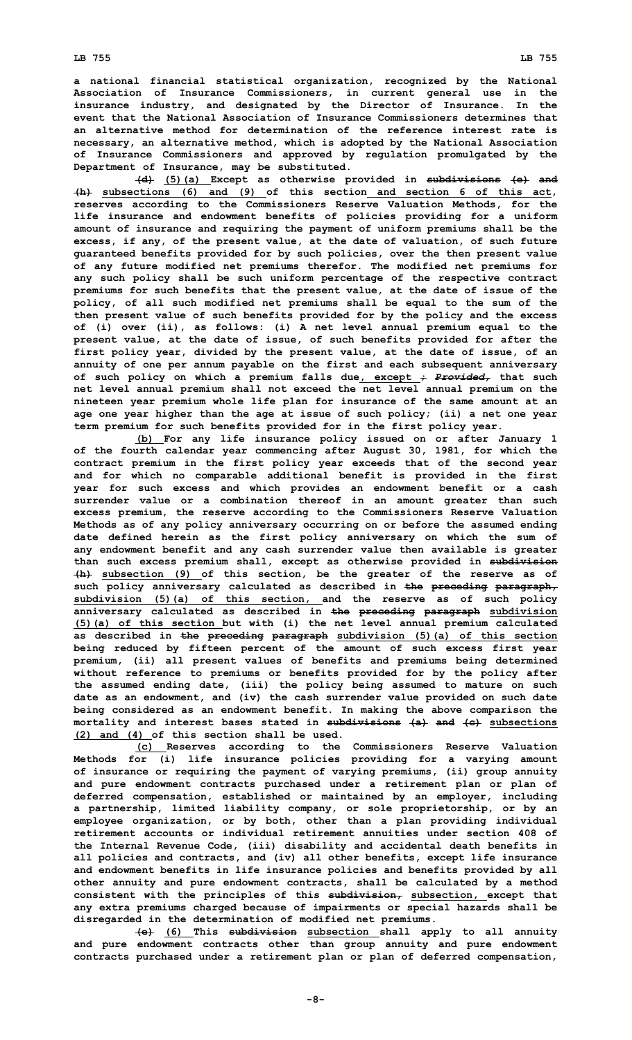## **LB 755 LB 755**

**<sup>a</sup> national financial statistical organization, recognized by the National Association of Insurance Commissioners, in current general use in the insurance industry, and designated by the Director of Insurance. In the event that the National Association of Insurance Commissioners determines that an alternative method for determination of the reference interest rate is necessary, an alternative method, which is adopted by the National Association of Insurance Commissioners and approved by regulation promulgated by the Department of Insurance, may be substituted.**

**(d) (5)(a) Except as otherwise provided in subdivisions (e) and (h) subsections (6) and (9) of this section and section 6 of this act, reserves according to the Commissioners Reserve Valuation Methods, for the life insurance and endowment benefits of policies providing for <sup>a</sup> uniform amount of insurance and requiring the payment of uniform premiums shall be the excess, if any, of the present value, at the date of valuation, of such future guaranteed benefits provided for by such policies, over the then present value of any future modified net premiums therefor. The modified net premiums for any such policy shall be such uniform percentage of the respective contract premiums for such benefits that the present value, at the date of issue of the policy, of all such modified net premiums shall be equal to the sum of the then present value of such benefits provided for by the policy and the excess of (i) over (ii), as follows: (i) <sup>A</sup> net level annual premium equal to the present value, at the date of issue, of such benefits provided for after the first policy year, divided by the present value, at the date of issue, of an annuity of one per annum payable on the first and each subsequent anniversary of such policy on which <sup>a</sup> premium falls due, except ;** *Provided,* **that such net level annual premium shall not exceed the net level annual premium on the nineteen year premium whole life plan for insurance of the same amount at an age one year higher than the age at issue of such policy; (ii) <sup>a</sup> net one year term premium for such benefits provided for in the first policy year.**

**(b) For any life insurance policy issued on or after January 1 of the fourth calendar year commencing after August 30, 1981, for which the contract premium in the first policy year exceeds that of the second year and for which no comparable additional benefit is provided in the first year for such excess and which provides an endowment benefit or <sup>a</sup> cash surrender value or <sup>a</sup> combination thereof in an amount greater than such excess premium, the reserve according to the Commissioners Reserve Valuation Methods as of any policy anniversary occurring on or before the assumed ending date defined herein as the first policy anniversary on which the sum of any endowment benefit and any cash surrender value then available is greater than such excess premium shall, except as otherwise provided in subdivision (h) subsection (9) of this section, be the greater of the reserve as of such policy anniversary calculated as described in the preceding paragraph, subdivision (5)(a) of this section, and the reserve as of such policy anniversary calculated as described in the preceding paragraph subdivision (5)(a) of this section but with (i) the net level annual premium calculated as described in the preceding paragraph subdivision (5)(a) of this section being reduced by fifteen percent of the amount of such excess first year premium, (ii) all present values of benefits and premiums being determined without reference to premiums or benefits provided for by the policy after the assumed ending date, (iii) the policy being assumed to mature on such date as an endowment, and (iv) the cash surrender value provided on such date being considered as an endowment benefit. In making the above comparison the mortality and interest bases stated in subdivisions (a) and (c) subsections (2) and (4) of this section shall be used.**

**(c) Reserves according to the Commissioners Reserve Valuation Methods for (i) life insurance policies providing for <sup>a</sup> varying amount of insurance or requiring the payment of varying premiums, (ii) group annuity and pure endowment contracts purchased under <sup>a</sup> retirement plan or plan of deferred compensation, established or maintained by an employer, including <sup>a</sup> partnership, limited liability company, or sole proprietorship, or by an employee organization, or by both, other than <sup>a</sup> plan providing individual retirement accounts or individual retirement annuities under section 408 of the Internal Revenue Code, (iii) disability and accidental death benefits in all policies and contracts, and (iv) all other benefits, except life insurance and endowment benefits in life insurance policies and benefits provided by all other annuity and pure endowment contracts, shall be calculated by <sup>a</sup> method consistent with the principles of this subdivision, subsection, except that any extra premiums charged because of impairments or special hazards shall be disregarded in the determination of modified net premiums.**

**(e) (6) This subdivision subsection shall apply to all annuity and pure endowment contracts other than group annuity and pure endowment contracts purchased under <sup>a</sup> retirement plan or plan of deferred compensation,**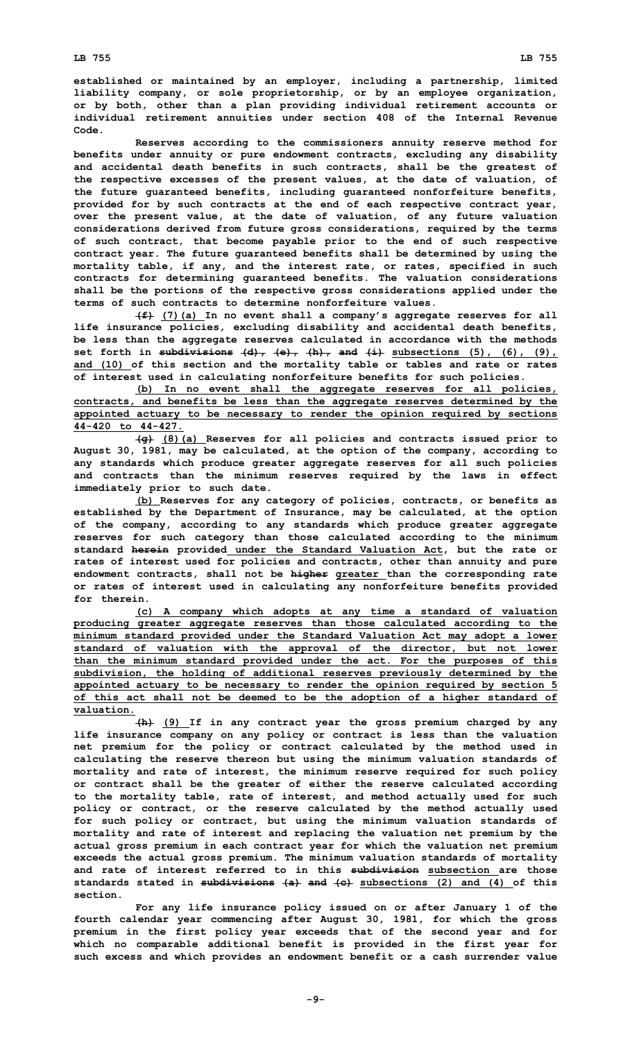**established or maintained by an employer, including <sup>a</sup> partnership, limited liability company, or sole proprietorship, or by an employee organization, or by both, other than <sup>a</sup> plan providing individual retirement accounts or individual retirement annuities under section 408 of the Internal Revenue Code.**

**Reserves according to the commissioners annuity reserve method for benefits under annuity or pure endowment contracts, excluding any disability and accidental death benefits in such contracts, shall be the greatest of the respective excesses of the present values, at the date of valuation, of the future guaranteed benefits, including guaranteed nonforfeiture benefits, provided for by such contracts at the end of each respective contract year, over the present value, at the date of valuation, of any future valuation considerations derived from future gross considerations, required by the terms of such contract, that become payable prior to the end of such respective contract year. The future guaranteed benefits shall be determined by using the mortality table, if any, and the interest rate, or rates, specified in such contracts for determining guaranteed benefits. The valuation considerations shall be the portions of the respective gross considerations applied under the terms of such contracts to determine nonforfeiture values.**

**(f) (7)(a) In no event shall <sup>a</sup> company's aggregate reserves for all life insurance policies, excluding disability and accidental death benefits, be less than the aggregate reserves calculated in accordance with the methods set forth in subdivisions (d), (e), (h), and (i) subsections (5), (6), (9), and (10) of this section and the mortality table or tables and rate or rates of interest used in calculating nonforfeiture benefits for such policies.**

**(b) In no event shall the aggregate reserves for all policies, contracts, and benefits be less than the aggregate reserves determined by the appointed actuary to be necessary to render the opinion required by sections 44-420 to 44-427.**

**(g) (8)(a) Reserves for all policies and contracts issued prior to August 30, 1981, may be calculated, at the option of the company, according to any standards which produce greater aggregate reserves for all such policies and contracts than the minimum reserves required by the laws in effect immediately prior to such date.**

**(b) Reserves for any category of policies, contracts, or benefits as established by the Department of Insurance, may be calculated, at the option of the company, according to any standards which produce greater aggregate reserves for such category than those calculated according to the minimum standard herein provided under the Standard Valuation Act, but the rate or rates of interest used for policies and contracts, other than annuity and pure endowment contracts, shall not be higher greater than the corresponding rate or rates of interest used in calculating any nonforfeiture benefits provided for therein.**

**(c) <sup>A</sup> company which adopts at any time <sup>a</sup> standard of valuation producing greater aggregate reserves than those calculated according to the minimum standard provided under the Standard Valuation Act may adopt <sup>a</sup> lower standard of valuation with the approval of the director, but not lower than the minimum standard provided under the act. For the purposes of this subdivision, the holding of additional reserves previously determined by the appointed actuary to be necessary to render the opinion required by section 5 of this act shall not be deemed to be the adoption of <sup>a</sup> higher standard of valuation.**

**(h) (9) If in any contract year the gross premium charged by any life insurance company on any policy or contract is less than the valuation net premium for the policy or contract calculated by the method used in calculating the reserve thereon but using the minimum valuation standards of mortality and rate of interest, the minimum reserve required for such policy or contract shall be the greater of either the reserve calculated according to the mortality table, rate of interest, and method actually used for such policy or contract, or the reserve calculated by the method actually used for such policy or contract, but using the minimum valuation standards of mortality and rate of interest and replacing the valuation net premium by the actual gross premium in each contract year for which the valuation net premium exceeds the actual gross premium. The minimum valuation standards of mortality and rate of interest referred to in this subdivision subsection are those standards stated in subdivisions (a) and (c) subsections (2) and (4) of this section.**

**For any life insurance policy issued on or after January 1 of the fourth calendar year commencing after August 30, 1981, for which the gross premium in the first policy year exceeds that of the second year and for which no comparable additional benefit is provided in the first year for such excess and which provides an endowment benefit or <sup>a</sup> cash surrender value**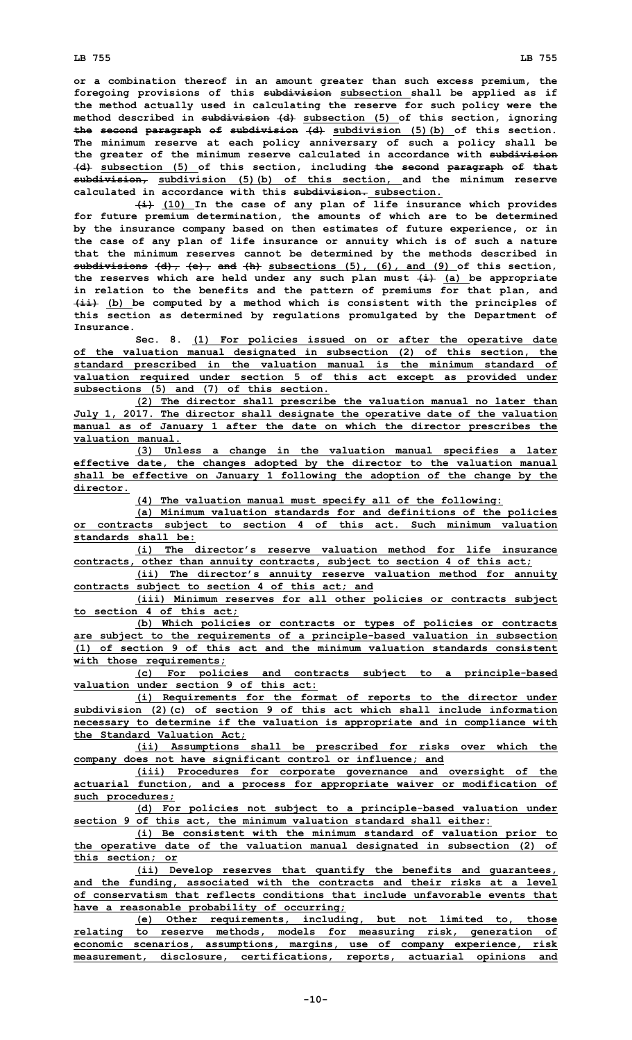**or <sup>a</sup> combination thereof in an amount greater than such excess premium, the foregoing provisions of this subdivision subsection shall be applied as if the method actually used in calculating the reserve for such policy were the method described in subdivision (d) subsection (5) of this section, ignoring the second paragraph of subdivision (d) subdivision (5)(b) of this section. The minimum reserve at each policy anniversary of such <sup>a</sup> policy shall be the greater of the minimum reserve calculated in accordance with subdivision (d) subsection (5) of this section, including the second paragraph of that subdivision, subdivision (5)(b) of this section, and the minimum reserve calculated in accordance with this subdivision. subsection.**

**(i) (10) In the case of any plan of life insurance which provides for future premium determination, the amounts of which are to be determined by the insurance company based on then estimates of future experience, or in the case of any plan of life insurance or annuity which is of such <sup>a</sup> nature that the minimum reserves cannot be determined by the methods described in subdivisions (d), (e), and (h) subsections (5), (6), and (9) of this section, the reserves which are held under any such plan must (i) (a) be appropriate in relation to the benefits and the pattern of premiums for that plan, and (ii) (b) be computed by <sup>a</sup> method which is consistent with the principles of this section as determined by regulations promulgated by the Department of Insurance.**

**Sec. 8. (1) For policies issued on or after the operative date of the valuation manual designated in subsection (2) of this section, the standard prescribed in the valuation manual is the minimum standard of valuation required under section 5 of this act except as provided under subsections (5) and (7) of this section.**

**(2) The director shall prescribe the valuation manual no later than July 1, 2017. The director shall designate the operative date of the valuation manual as of January 1 after the date on which the director prescribes the valuation manual.**

**(3) Unless <sup>a</sup> change in the valuation manual specifies <sup>a</sup> later effective date, the changes adopted by the director to the valuation manual shall be effective on January 1 following the adoption of the change by the director.**

**(4) The valuation manual must specify all of the following:**

**(a) Minimum valuation standards for and definitions of the policies or contracts subject to section 4 of this act. Such minimum valuation standards shall be:**

**(i) The director's reserve valuation method for life insurance contracts, other than annuity contracts, subject to section 4 of this act;**

**(ii) The director's annuity reserve valuation method for annuity contracts subject to section 4 of this act; and**

**(iii) Minimum reserves for all other policies or contracts subject to section 4 of this act;**

**(b) Which policies or contracts or types of policies or contracts are subject to the requirements of <sup>a</sup> principle-based valuation in subsection (1) of section 9 of this act and the minimum valuation standards consistent with those requirements;**

**(c) For policies and contracts subject to <sup>a</sup> principle-based valuation under section 9 of this act:**

**(i) Requirements for the format of reports to the director under subdivision (2)(c) of section 9 of this act which shall include information necessary to determine if the valuation is appropriate and in compliance with the Standard Valuation Act;**

**(ii) Assumptions shall be prescribed for risks over which the company does not have significant control or influence; and**

**(iii) Procedures for corporate governance and oversight of the actuarial function, and <sup>a</sup> process for appropriate waiver or modification of such procedures;**

**(d) For policies not subject to <sup>a</sup> principle-based valuation under section 9 of this act, the minimum valuation standard shall either:**

**(i) Be consistent with the minimum standard of valuation prior to the operative date of the valuation manual designated in subsection (2) of this section; or**

**(ii) Develop reserves that quantify the benefits and guarantees, and the funding, associated with the contracts and their risks at <sup>a</sup> level of conservatism that reflects conditions that include unfavorable events that have <sup>a</sup> reasonable probability of occurring;**

**(e) Other requirements, including, but not limited to, those relating to reserve methods, models for measuring risk, generation of economic scenarios, assumptions, margins, use of company experience, risk measurement, disclosure, certifications, reports, actuarial opinions and**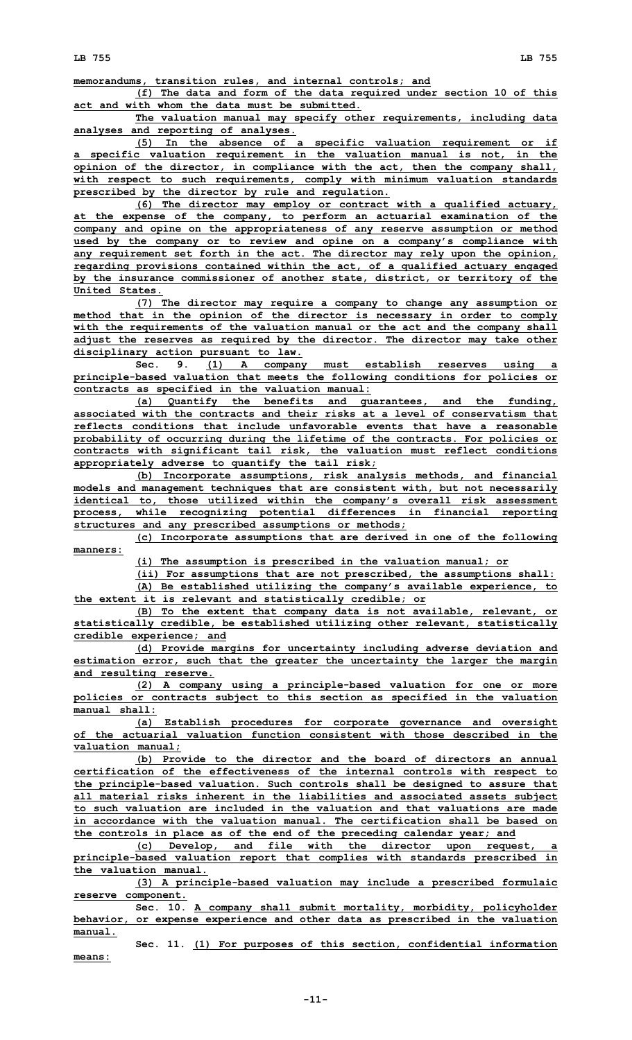**memorandums, transition rules, and internal controls; and**

**(f) The data and form of the data required under section 10 of this**

**act and with whom the data must be submitted.**

**The valuation manual may specify other requirements, including data analyses and reporting of analyses.**

**(5) In the absence of <sup>a</sup> specific valuation requirement or if <sup>a</sup> specific valuation requirement in the valuation manual is not, in the opinion of the director, in compliance with the act, then the company shall, with respect to such requirements, comply with minimum valuation standards prescribed by the director by rule and regulation.**

**(6) The director may employ or contract with <sup>a</sup> qualified actuary, at the expense of the company, to perform an actuarial examination of the company and opine on the appropriateness of any reserve assumption or method used by the company or to review and opine on <sup>a</sup> company's compliance with any requirement set forth in the act. The director may rely upon the opinion, regarding provisions contained within the act, of <sup>a</sup> qualified actuary engaged by the insurance commissioner of another state, district, or territory of the United States.**

**(7) The director may require <sup>a</sup> company to change any assumption or method that in the opinion of the director is necessary in order to comply with the requirements of the valuation manual or the act and the company shall adjust the reserves as required by the director. The director may take other disciplinary action pursuant to law.**

**Sec. 9. (1) <sup>A</sup> company must establish reserves using <sup>a</sup> principle-based valuation that meets the following conditions for policies or contracts as specified in the valuation manual:**

**(a) Quantify the benefits and guarantees, and the funding, associated with the contracts and their risks at a level of conservatism that reflects conditions that include unfavorable events that have a reasonable probability of occurring during the lifetime of the contracts. For policies or contracts with significant tail risk, the valuation must reflect conditions appropriately adverse to quantify the tail risk;**

**(b) Incorporate assumptions, risk analysis methods, and financial models and management techniques that are consistent with, but not necessarily identical to, those utilized within the company's overall risk assessment process, while recognizing potential differences in financial reporting structures and any prescribed assumptions or methods;**

**(c) Incorporate assumptions that are derived in one of the following manners:**

**(i) The assumption is prescribed in the valuation manual; or**

**(ii) For assumptions that are not prescribed, the assumptions shall: (A) Be established utilizing the company's available experience, to the extent it is relevant and statistically credible; or**

**(B) To the extent that company data is not available, relevant, or statistically credible, be established utilizing other relevant, statistically credible experience; and**

**(d) Provide margins for uncertainty including adverse deviation and estimation error, such that the greater the uncertainty the larger the margin and resulting reserve.**

**(2) <sup>A</sup> company using <sup>a</sup> principle-based valuation for one or more policies or contracts subject to this section as specified in the valuation manual shall:**

**(a) Establish procedures for corporate governance and oversight of the actuarial valuation function consistent with those described in the valuation manual;**

**(b) Provide to the director and the board of directors an annual certification of the effectiveness of the internal controls with respect to the principle-based valuation. Such controls shall be designed to assure that all material risks inherent in the liabilities and associated assets subject to such valuation are included in the valuation and that valuations are made in accordance with the valuation manual. The certification shall be based on the controls in place as of the end of the preceding calendar year; and**

**(c) Develop, and file with the director upon request, <sup>a</sup> principle-based valuation report that complies with standards prescribed in the valuation manual.**

**(3) <sup>A</sup> principle-based valuation may include <sup>a</sup> prescribed formulaic reserve component.**

**Sec. 10. <sup>A</sup> company shall submit mortality, morbidity, policyholder behavior, or expense experience and other data as prescribed in the valuation manual.**

**Sec. 11. (1) For purposes of this section, confidential information means:**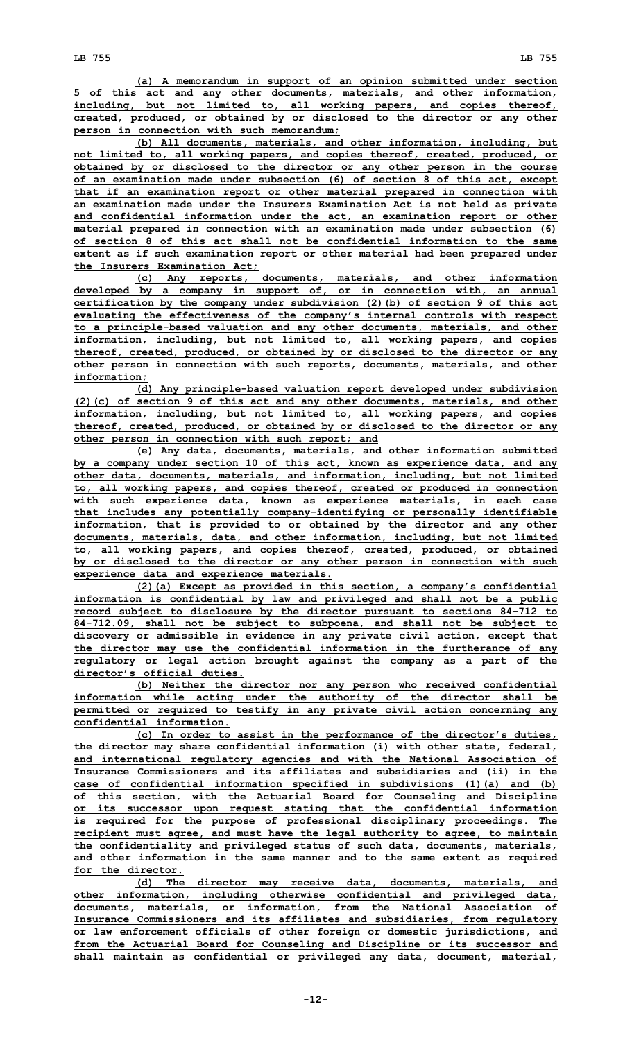**(a) <sup>A</sup> memorandum in support of an opinion submitted under section 5 of this act and any other documents, materials, and other information, including, but not limited to, all working papers, and copies thereof, created, produced, or obtained by or disclosed to the director or any other person in connection with such memorandum;**

**(b) All documents, materials, and other information, including, but not limited to, all working papers, and copies thereof, created, produced, or obtained by or disclosed to the director or any other person in the course of an examination made under subsection (6) of section 8 of this act, except that if an examination report or other material prepared in connection with an examination made under the Insurers Examination Act is not held as private and confidential information under the act, an examination report or other material prepared in connection with an examination made under subsection (6) of section 8 of this act shall not be confidential information to the same extent as if such examination report or other material had been prepared under the Insurers Examination Act;**

**(c) Any reports, documents, materials, and other information developed by <sup>a</sup> company in support of, or in connection with, an annual certification by the company under subdivision (2)(b) of section 9 of this act evaluating the effectiveness of the company's internal controls with respect to <sup>a</sup> principle-based valuation and any other documents, materials, and other information, including, but not limited to, all working papers, and copies thereof, created, produced, or obtained by or disclosed to the director or any other person in connection with such reports, documents, materials, and other information;**

**(d) Any principle-based valuation report developed under subdivision (2)(c) of section 9 of this act and any other documents, materials, and other information, including, but not limited to, all working papers, and copies thereof, created, produced, or obtained by or disclosed to the director or any other person in connection with such report; and**

**(e) Any data, documents, materials, and other information submitted by <sup>a</sup> company under section 10 of this act, known as experience data, and any other data, documents, materials, and information, including, but not limited to, all working papers, and copies thereof, created or produced in connection with such experience data, known as experience materials, in each case that includes any potentially company-identifying or personally identifiable information, that is provided to or obtained by the director and any other documents, materials, data, and other information, including, but not limited to, all working papers, and copies thereof, created, produced, or obtained by or disclosed to the director or any other person in connection with such experience data and experience materials.**

**(2)(a) Except as provided in this section, <sup>a</sup> company's confidential information is confidential by law and privileged and shall not be <sup>a</sup> public record subject to disclosure by the director pursuant to sections 84-712 to 84-712.09, shall not be subject to subpoena, and shall not be subject to discovery or admissible in evidence in any private civil action, except that the director may use the confidential information in the furtherance of any regulatory or legal action brought against the company as <sup>a</sup> part of the director's official duties.**

**(b) Neither the director nor any person who received confidential information while acting under the authority of the director shall be permitted or required to testify in any private civil action concerning any confidential information.**

**(c) In order to assist in the performance of the director's duties, the director may share confidential information (i) with other state, federal, and international regulatory agencies and with the National Association of Insurance Commissioners and its affiliates and subsidiaries and (ii) in the case of confidential information specified in subdivisions (1)(a) and (b) of this section, with the Actuarial Board for Counseling and Discipline or its successor upon request stating that the confidential information is required for the purpose of professional disciplinary proceedings. The recipient must agree, and must have the legal authority to agree, to maintain the confidentiality and privileged status of such data, documents, materials, and other information in the same manner and to the same extent as required for the director.**

**(d) The director may receive data, documents, materials, and other information, including otherwise confidential and privileged data, documents, materials, or information, from the National Association of Insurance Commissioners and its affiliates and subsidiaries, from regulatory or law enforcement officials of other foreign or domestic jurisdictions, and from the Actuarial Board for Counseling and Discipline or its successor and shall maintain as confidential or privileged any data, document, material,**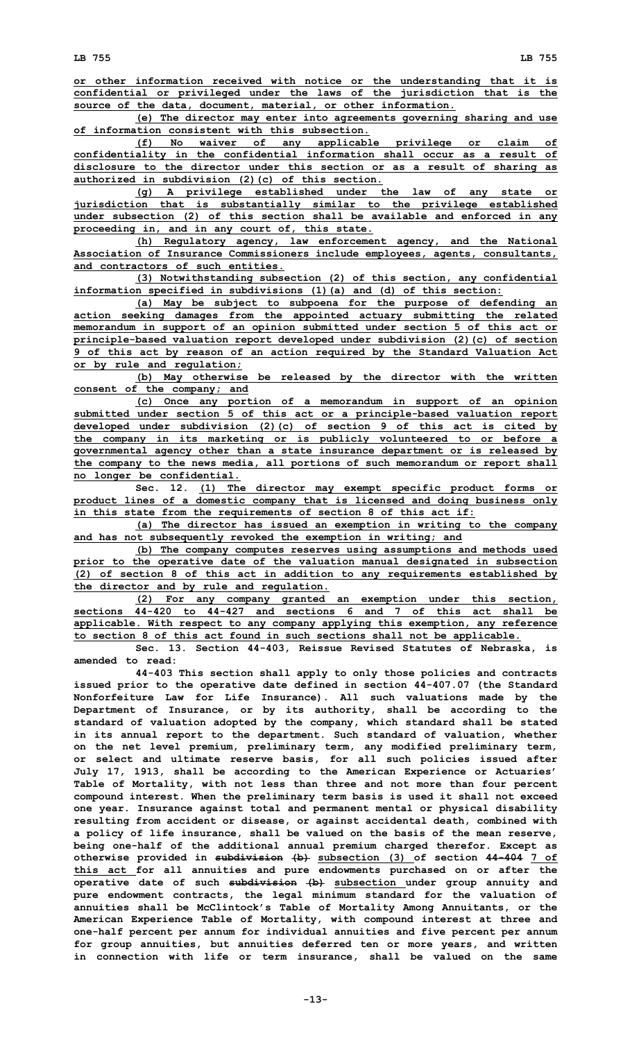**or other information received with notice or the understanding that it is confidential or privileged under the laws of the jurisdiction that is the source of the data, document, material, or other information.**

**(e) The director may enter into agreements governing sharing and use of information consistent with this subsection.**

**(f) No waiver of any applicable privilege or claim of confidentiality in the confidential information shall occur as <sup>a</sup> result of disclosure to the director under this section or as <sup>a</sup> result of sharing as authorized in subdivision (2)(c) of this section.**

**(g) <sup>A</sup> privilege established under the law of any state or jurisdiction that is substantially similar to the privilege established under subsection (2) of this section shall be available and enforced in any proceeding in, and in any court of, this state.**

**(h) Regulatory agency, law enforcement agency, and the National Association of Insurance Commissioners include employees, agents, consultants, and contractors of such entities.**

**(3) Notwithstanding subsection (2) of this section, any confidential information specified in subdivisions (1)(a) and (d) of this section:**

**(a) May be subject to subpoena for the purpose of defending an action seeking damages from the appointed actuary submitting the related memorandum in support of an opinion submitted under section 5 of this act or principle-based valuation report developed under subdivision (2)(c) of section 9 of this act by reason of an action required by the Standard Valuation Act or by rule and regulation;**

**(b) May otherwise be released by the director with the written consent of the company; and**

**(c) Once any portion of <sup>a</sup> memorandum in support of an opinion submitted under section 5 of this act or <sup>a</sup> principle-based valuation report developed under subdivision (2)(c) of section 9 of this act is cited by the company in its marketing or is publicly volunteered to or before <sup>a</sup> governmental agency other than <sup>a</sup> state insurance department or is released by the company to the news media, all portions of such memorandum or report shall no longer be confidential.**

**Sec. 12. (1) The director may exempt specific product forms or product lines of <sup>a</sup> domestic company that is licensed and doing business only in this state from the requirements of section 8 of this act if:**

**(a) The director has issued an exemption in writing to the company and has not subsequently revoked the exemption in writing; and**

**(b) The company computes reserves using assumptions and methods used prior to the operative date of the valuation manual designated in subsection (2) of section 8 of this act in addition to any requirements established by the director and by rule and regulation.**

**(2) For any company granted an exemption under this section, sections 44-420 to 44-427 and sections 6 and 7 of this act shall be applicable. With respect to any company applying this exemption, any reference to section 8 of this act found in such sections shall not be applicable.**

**Sec. 13. Section 44-403, Reissue Revised Statutes of Nebraska, is amended to read:**

**44-403 This section shall apply to only those policies and contracts issued prior to the operative date defined in section 44-407.07 (the Standard Nonforfeiture Law for Life Insurance). All such valuations made by the Department of Insurance, or by its authority, shall be according to the standard of valuation adopted by the company, which standard shall be stated in its annual report to the department. Such standard of valuation, whether on the net level premium, preliminary term, any modified preliminary term, or select and ultimate reserve basis, for all such policies issued after July 17, 1913, shall be according to the American Experience or Actuaries' Table of Mortality, with not less than three and not more than four percent compound interest. When the preliminary term basis is used it shall not exceed one year. Insurance against total and permanent mental or physical disability resulting from accident or disease, or against accidental death, combined with <sup>a</sup> policy of life insurance, shall be valued on the basis of the mean reserve, being one-half of the additional annual premium charged therefor. Except as otherwise provided in subdivision (b) subsection (3) of section 44-404 7 of this act for all annuities and pure endowments purchased on or after the operative date of such subdivision (b) subsection under group annuity and pure endowment contracts, the legal minimum standard for the valuation of annuities shall be McClintock's Table of Mortality Among Annuitants, or the American Experience Table of Mortality, with compound interest at three and one-half percent per annum for individual annuities and five percent per annum for group annuities, but annuities deferred ten or more years, and written in connection with life or term insurance, shall be valued on the same**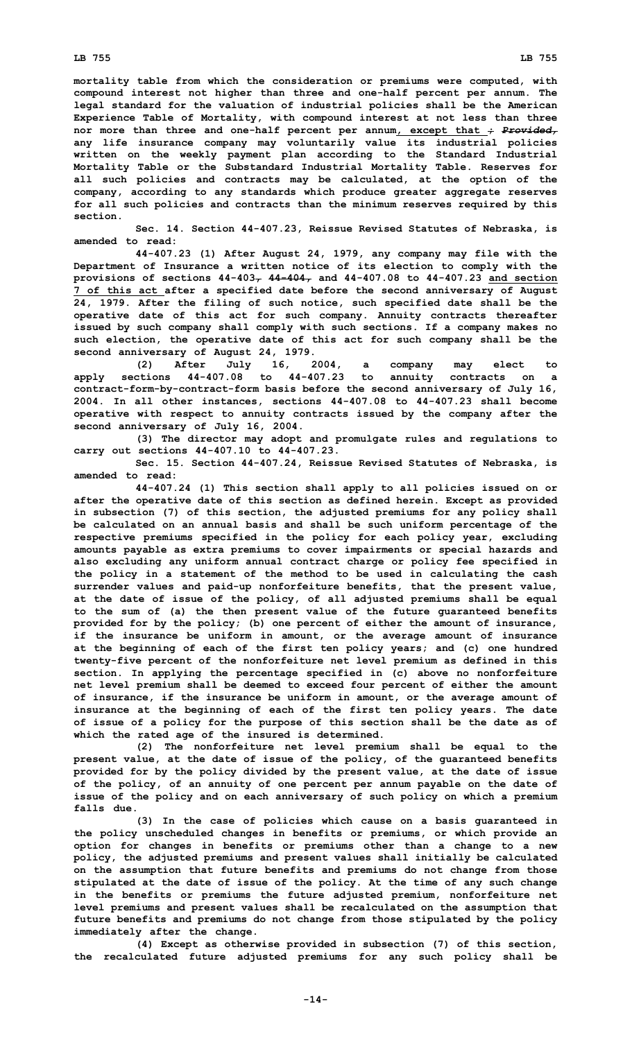**mortality table from which the consideration or premiums were computed, with compound interest not higher than three and one-half percent per annum. The legal standard for the valuation of industrial policies shall be the American Experience Table of Mortality, with compound interest at not less than three nor more than three and one-half percent per annum, except that ;** *Provided,* **any life insurance company may voluntarily value its industrial policies written on the weekly payment plan according to the Standard Industrial Mortality Table or the Substandard Industrial Mortality Table. Reserves for all such policies and contracts may be calculated, at the option of the company, according to any standards which produce greater aggregate reserves for all such policies and contracts than the minimum reserves required by this section.**

**Sec. 14. Section 44-407.23, Reissue Revised Statutes of Nebraska, is amended to read:**

**44-407.23 (1) After August 24, 1979, any company may file with the Department of Insurance <sup>a</sup> written notice of its election to comply with the provisions of sections 44-403, 44-404, and 44-407.08 to 44-407.23 and section 7 of this act after <sup>a</sup> specified date before the second anniversary of August 24, 1979. After the filing of such notice, such specified date shall be the operative date of this act for such company. Annuity contracts thereafter issued by such company shall comply with such sections. If <sup>a</sup> company makes no such election, the operative date of this act for such company shall be the second anniversary of August 24, 1979.**

**(2) After July 16, 2004, <sup>a</sup> company may elect to apply sections 44-407.08 to 44-407.23 to annuity contracts on <sup>a</sup> contract-form-by-contract-form basis before the second anniversary of July 16, 2004. In all other instances, sections 44-407.08 to 44-407.23 shall become operative with respect to annuity contracts issued by the company after the second anniversary of July 16, 2004.**

**(3) The director may adopt and promulgate rules and regulations to carry out sections 44-407.10 to 44-407.23.**

**Sec. 15. Section 44-407.24, Reissue Revised Statutes of Nebraska, is amended to read:**

**44-407.24 (1) This section shall apply to all policies issued on or after the operative date of this section as defined herein. Except as provided in subsection (7) of this section, the adjusted premiums for any policy shall be calculated on an annual basis and shall be such uniform percentage of the respective premiums specified in the policy for each policy year, excluding amounts payable as extra premiums to cover impairments or special hazards and also excluding any uniform annual contract charge or policy fee specified in the policy in <sup>a</sup> statement of the method to be used in calculating the cash surrender values and paid-up nonforfeiture benefits, that the present value, at the date of issue of the policy, of all adjusted premiums shall be equal to the sum of (a) the then present value of the future guaranteed benefits provided for by the policy; (b) one percent of either the amount of insurance, if the insurance be uniform in amount, or the average amount of insurance at the beginning of each of the first ten policy years; and (c) one hundred twenty-five percent of the nonforfeiture net level premium as defined in this section. In applying the percentage specified in (c) above no nonforfeiture net level premium shall be deemed to exceed four percent of either the amount of insurance, if the insurance be uniform in amount, or the average amount of insurance at the beginning of each of the first ten policy years. The date of issue of <sup>a</sup> policy for the purpose of this section shall be the date as of which the rated age of the insured is determined.**

**(2) The nonforfeiture net level premium shall be equal to the present value, at the date of issue of the policy, of the guaranteed benefits provided for by the policy divided by the present value, at the date of issue of the policy, of an annuity of one percent per annum payable on the date of issue of the policy and on each anniversary of such policy on which <sup>a</sup> premium falls due.**

**(3) In the case of policies which cause on <sup>a</sup> basis guaranteed in the policy unscheduled changes in benefits or premiums, or which provide an option for changes in benefits or premiums other than <sup>a</sup> change to <sup>a</sup> new policy, the adjusted premiums and present values shall initially be calculated on the assumption that future benefits and premiums do not change from those stipulated at the date of issue of the policy. At the time of any such change in the benefits or premiums the future adjusted premium, nonforfeiture net level premiums and present values shall be recalculated on the assumption that future benefits and premiums do not change from those stipulated by the policy immediately after the change.**

**(4) Except as otherwise provided in subsection (7) of this section, the recalculated future adjusted premiums for any such policy shall be**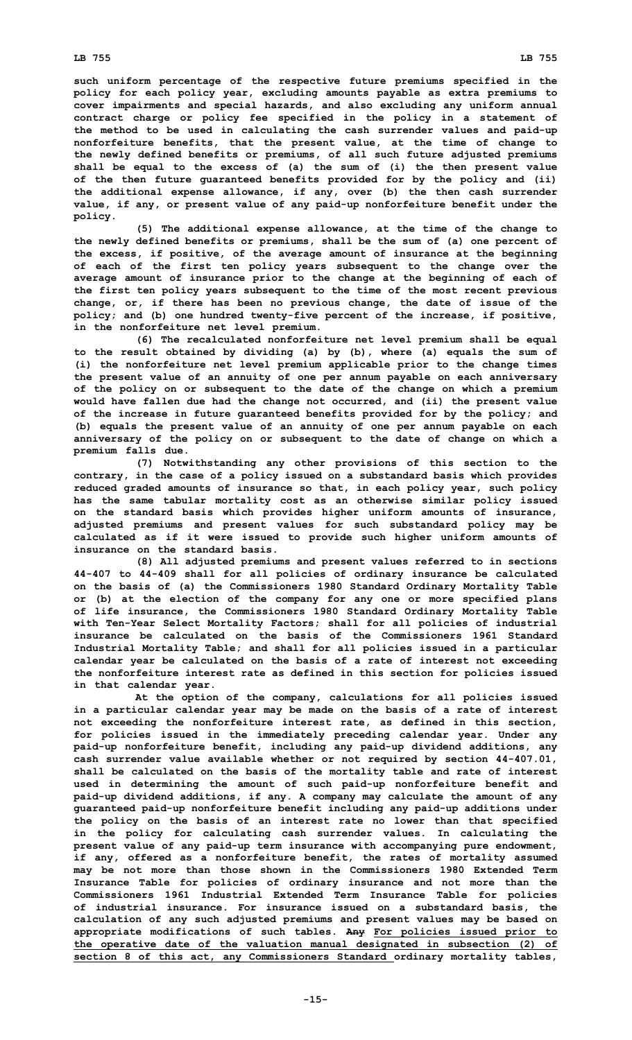## **LB 755 LB 755**

**such uniform percentage of the respective future premiums specified in the policy for each policy year, excluding amounts payable as extra premiums to cover impairments and special hazards, and also excluding any uniform annual contract charge or policy fee specified in the policy in <sup>a</sup> statement of the method to be used in calculating the cash surrender values and paid-up nonforfeiture benefits, that the present value, at the time of change to the newly defined benefits or premiums, of all such future adjusted premiums shall be equal to the excess of (a) the sum of (i) the then present value of the then future guaranteed benefits provided for by the policy and (ii) the additional expense allowance, if any, over (b) the then cash surrender value, if any, or present value of any paid-up nonforfeiture benefit under the policy.**

**(5) The additional expense allowance, at the time of the change to the newly defined benefits or premiums, shall be the sum of (a) one percent of the excess, if positive, of the average amount of insurance at the beginning of each of the first ten policy years subsequent to the change over the average amount of insurance prior to the change at the beginning of each of the first ten policy years subsequent to the time of the most recent previous change, or, if there has been no previous change, the date of issue of the policy; and (b) one hundred twenty-five percent of the increase, if positive, in the nonforfeiture net level premium.**

**(6) The recalculated nonforfeiture net level premium shall be equal to the result obtained by dividing (a) by (b), where (a) equals the sum of (i) the nonforfeiture net level premium applicable prior to the change times the present value of an annuity of one per annum payable on each anniversary of the policy on or subsequent to the date of the change on which <sup>a</sup> premium would have fallen due had the change not occurred, and (ii) the present value of the increase in future guaranteed benefits provided for by the policy; and (b) equals the present value of an annuity of one per annum payable on each anniversary of the policy on or subsequent to the date of change on which <sup>a</sup> premium falls due.**

**(7) Notwithstanding any other provisions of this section to the contrary, in the case of <sup>a</sup> policy issued on <sup>a</sup> substandard basis which provides reduced graded amounts of insurance so that, in each policy year, such policy has the same tabular mortality cost as an otherwise similar policy issued on the standard basis which provides higher uniform amounts of insurance, adjusted premiums and present values for such substandard policy may be calculated as if it were issued to provide such higher uniform amounts of insurance on the standard basis.**

**(8) All adjusted premiums and present values referred to in sections 44-407 to 44-409 shall for all policies of ordinary insurance be calculated on the basis of (a) the Commissioners 1980 Standard Ordinary Mortality Table or (b) at the election of the company for any one or more specified plans of life insurance, the Commissioners 1980 Standard Ordinary Mortality Table with Ten-Year Select Mortality Factors; shall for all policies of industrial insurance be calculated on the basis of the Commissioners 1961 Standard Industrial Mortality Table; and shall for all policies issued in <sup>a</sup> particular calendar year be calculated on the basis of <sup>a</sup> rate of interest not exceeding the nonforfeiture interest rate as defined in this section for policies issued in that calendar year.**

**At the option of the company, calculations for all policies issued in <sup>a</sup> particular calendar year may be made on the basis of <sup>a</sup> rate of interest not exceeding the nonforfeiture interest rate, as defined in this section, for policies issued in the immediately preceding calendar year. Under any paid-up nonforfeiture benefit, including any paid-up dividend additions, any cash surrender value available whether or not required by section 44-407.01, shall be calculated on the basis of the mortality table and rate of interest used in determining the amount of such paid-up nonforfeiture benefit and paid-up dividend additions, if any. A company may calculate the amount of any guaranteed paid-up nonforfeiture benefit including any paid-up additions under the policy on the basis of an interest rate no lower than that specified in the policy for calculating cash surrender values. In calculating the present value of any paid-up term insurance with accompanying pure endowment, if any, offered as <sup>a</sup> nonforfeiture benefit, the rates of mortality assumed may be not more than those shown in the Commissioners 1980 Extended Term Insurance Table for policies of ordinary insurance and not more than the Commissioners 1961 Industrial Extended Term Insurance Table for policies of industrial insurance. For insurance issued on <sup>a</sup> substandard basis, the calculation of any such adjusted premiums and present values may be based on appropriate modifications of such tables. Any For policies issued prior to the operative date of the valuation manual designated in subsection (2) of section 8 of this act, any Commissioners Standard ordinary mortality tables,**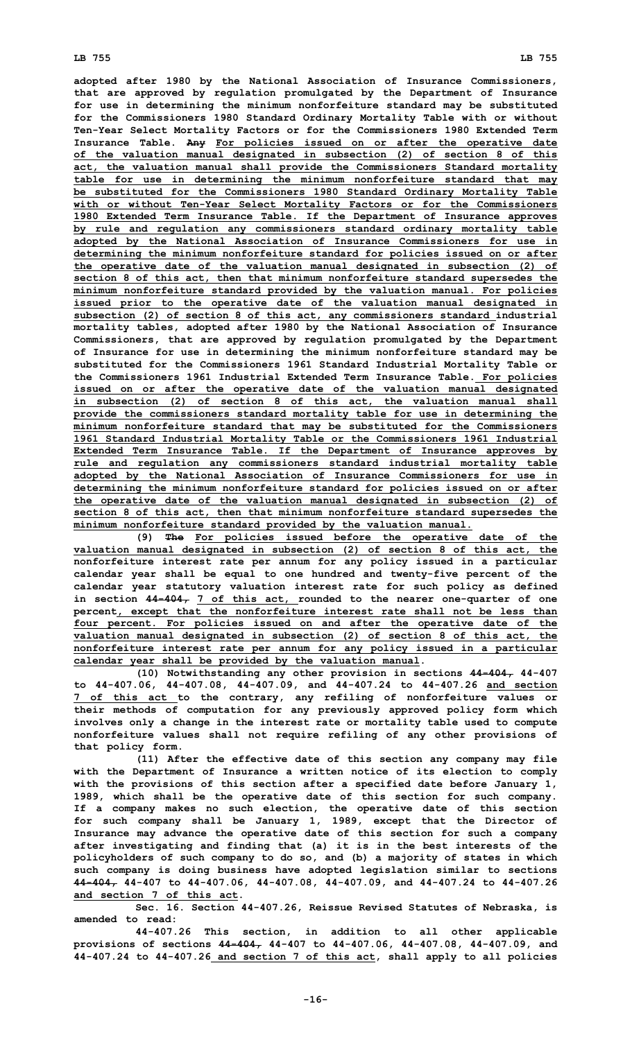**adopted after 1980 by the National Association of Insurance Commissioners, that are approved by regulation promulgated by the Department of Insurance for use in determining the minimum nonforfeiture standard may be substituted for the Commissioners 1980 Standard Ordinary Mortality Table with or without Ten-Year Select Mortality Factors or for the Commissioners 1980 Extended Term Insurance Table. Any For policies issued on or after the operative date of the valuation manual designated in subsection (2) of section 8 of this act, the valuation manual shall provide the Commissioners Standard mortality table for use in determining the minimum nonforfeiture standard that may be substituted for the Commissioners 1980 Standard Ordinary Mortality Table with or without Ten-Year Select Mortality Factors or for the Commissioners 1980 Extended Term Insurance Table. If the Department of Insurance approves by rule and regulation any commissioners standard ordinary mortality table adopted by the National Association of Insurance Commissioners for use in determining the minimum nonforfeiture standard for policies issued on or after the operative date of the valuation manual designated in subsection (2) of section 8 of this act, then that minimum nonforfeiture standard supersedes the minimum nonforfeiture standard provided by the valuation manual. For policies issued prior to the operative date of the valuation manual designated in subsection (2) of section 8 of this act, any commissioners standard industrial mortality tables, adopted after 1980 by the National Association of Insurance Commissioners, that are approved by regulation promulgated by the Department of Insurance for use in determining the minimum nonforfeiture standard may be substituted for the Commissioners 1961 Standard Industrial Mortality Table or the Commissioners 1961 Industrial Extended Term Insurance Table. For policies issued on or after the operative date of the valuation manual designated in subsection (2) of section 8 of this act, the valuation manual shall provide the commissioners standard mortality table for use in determining the minimum nonforfeiture standard that may be substituted for the Commissioners 1961 Standard Industrial Mortality Table or the Commissioners 1961 Industrial Extended Term Insurance Table. If the Department of Insurance approves by rule and regulation any commissioners standard industrial mortality table adopted by the National Association of Insurance Commissioners for use in determining the minimum nonforfeiture standard for policies issued on or after the operative date of the valuation manual designated in subsection (2) of section 8 of this act, then that minimum nonforfeiture standard supersedes the minimum nonforfeiture standard provided by the valuation manual.**

**(9) The For policies issued before the operative date of the valuation manual designated in subsection (2) of section 8 of this act, the nonforfeiture interest rate per annum for any policy issued in <sup>a</sup> particular calendar year shall be equal to one hundred and twenty-five percent of the calendar year statutory valuation interest rate for such policy as defined in section 44-404, 7 of this act, rounded to the nearer one-quarter of one percent, except that the nonforfeiture interest rate shall not be less than four percent. For policies issued on and after the operative date of the valuation manual designated in subsection (2) of section 8 of this act, the nonforfeiture interest rate per annum for any policy issued in <sup>a</sup> particular calendar year shall be provided by the valuation manual.**

**(10) Notwithstanding any other provision in sections 44-404, 44-407 to 44-407.06, 44-407.08, 44-407.09, and 44-407.24 to 44-407.26 and section 7 of this act to the contrary, any refiling of nonforfeiture values or their methods of computation for any previously approved policy form which involves only <sup>a</sup> change in the interest rate or mortality table used to compute nonforfeiture values shall not require refiling of any other provisions of that policy form.**

**(11) After the effective date of this section any company may file with the Department of Insurance <sup>a</sup> written notice of its election to comply with the provisions of this section after <sup>a</sup> specified date before January 1, 1989, which shall be the operative date of this section for such company. If <sup>a</sup> company makes no such election, the operative date of this section for such company shall be January 1, 1989, except that the Director of Insurance may advance the operative date of this section for such <sup>a</sup> company after investigating and finding that (a) it is in the best interests of the policyholders of such company to do so, and (b) <sup>a</sup> majority of states in which such company is doing business have adopted legislation similar to sections 44-404, 44-407 to 44-407.06, 44-407.08, 44-407.09, and 44-407.24 to 44-407.26 and section 7 of this act.**

**Sec. 16. Section 44-407.26, Reissue Revised Statutes of Nebraska, is amended to read:**

**44-407.26 This section, in addition to all other applicable provisions of sections 44-404, 44-407 to 44-407.06, 44-407.08, 44-407.09, and 44-407.24 to 44-407.26 and section 7 of this act, shall apply to all policies**